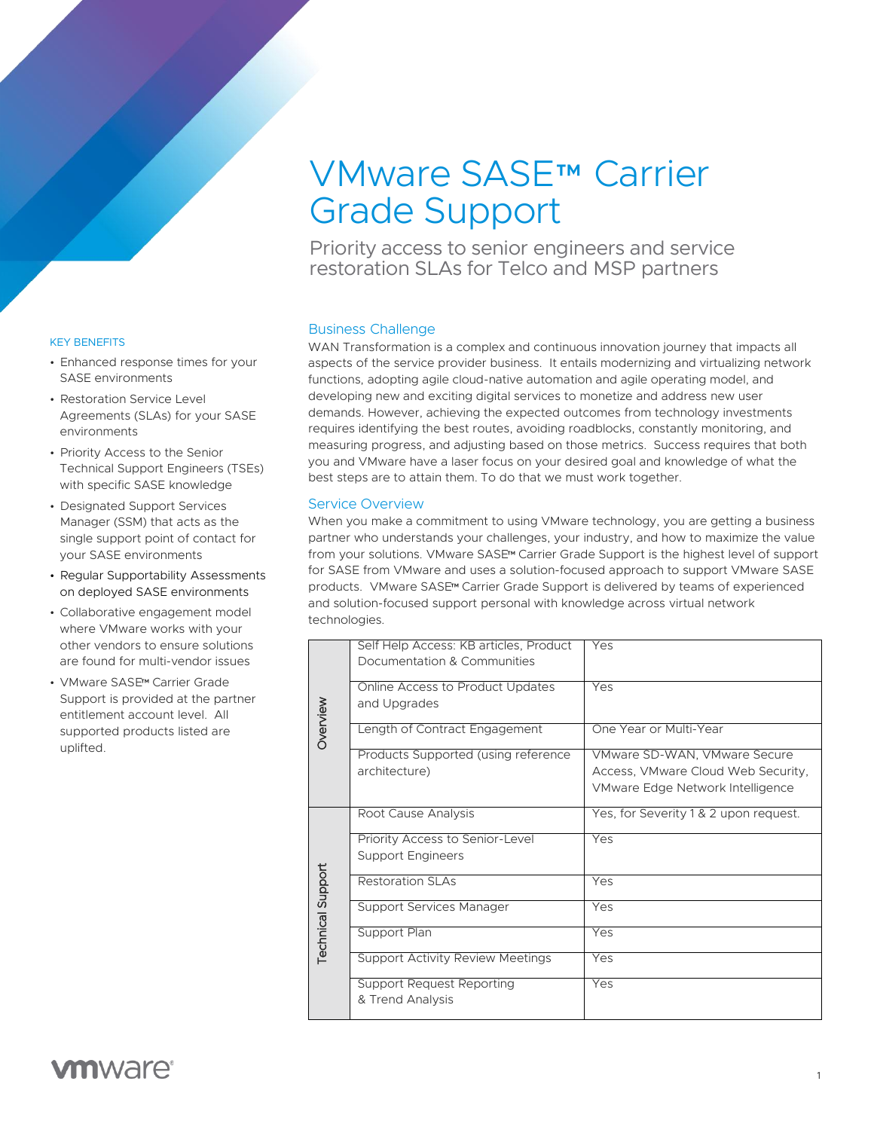# VMware SASE™ Carrier Grade Support

Priority access to senior engineers and service restoration SLAs for Telco and MSP partners

### KEY BENEFITS

- Enhanced response times for your SASE environments
- Restoration Service Level Agreements (SLAs) for your SASE environments
- Priority Access to the Senior Technical Support Engineers (TSEs) with specific SASE knowledge
- Designated Support Services Manager (SSM) that acts as the single support point of contact for your SASE environments
- Regular Supportability Assessments on deployed SASE environments
- Collaborative engagement model where VMware works with your other vendors to ensure solutions are found for multi-vendor issues
- VMware SASE™ Carrier Grade Support is provided at the partner entitlement account level. All supported products listed are uplifted.

# Business Challenge

WAN Transformation is a complex and continuous innovation journey that impacts all aspects of the service provider business. It entails modernizing and virtualizing network functions, adopting agile cloud-native automation and agile operating model, and developing new and exciting digital services to monetize and address new user demands. However, achieving the expected outcomes from technology investments requires identifying the best routes, avoiding roadblocks, constantly monitoring, and measuring progress, and adjusting based on those metrics. Success requires that both you and VMware have a laser focus on your desired goal and knowledge of what the best steps are to attain them. To do that we must work together.

# Service Overview

When you make a commitment to using VMware technology, you are getting a business partner who understands your challenges, your industry, and how to maximize the value from your solutions. VMware SASE™ Carrier Grade Support is the highest level of support for SASE from VMware and uses a solution-focused approach to support VMware SASE products. VMware SASE™ Carrier Grade Support is delivered by teams of experienced and solution-focused support personal with knowledge across virtual network technologies.

| <b>Overview</b>          | Self Help Access: KB articles, Product<br>Documentation & Communities | Yes                                                                                                    |
|--------------------------|-----------------------------------------------------------------------|--------------------------------------------------------------------------------------------------------|
|                          | Online Access to Product Updates<br>and Upgrades                      | Yes                                                                                                    |
|                          | Length of Contract Engagement                                         | One Year or Multi-Year                                                                                 |
|                          | Products Supported (using reference<br>architecture)                  | VMware SD-WAN, VMware Secure<br>Access, VMware Cloud Web Security,<br>VMware Edge Network Intelligence |
| <b>Technical Support</b> | Root Cause Analysis                                                   | Yes, for Severity 1 & 2 upon request.                                                                  |
|                          | Priority Access to Senior-Level<br><b>Support Engineers</b>           | Yes                                                                                                    |
|                          | Restoration SLAs                                                      | Yes                                                                                                    |
|                          | <b>Support Services Manager</b>                                       | Yes                                                                                                    |
|                          | Support Plan                                                          | Yes                                                                                                    |
|                          | <b>Support Activity Review Meetings</b>                               | Yes                                                                                                    |
|                          | <b>Support Request Reporting</b><br>& Trend Analysis                  | Yes                                                                                                    |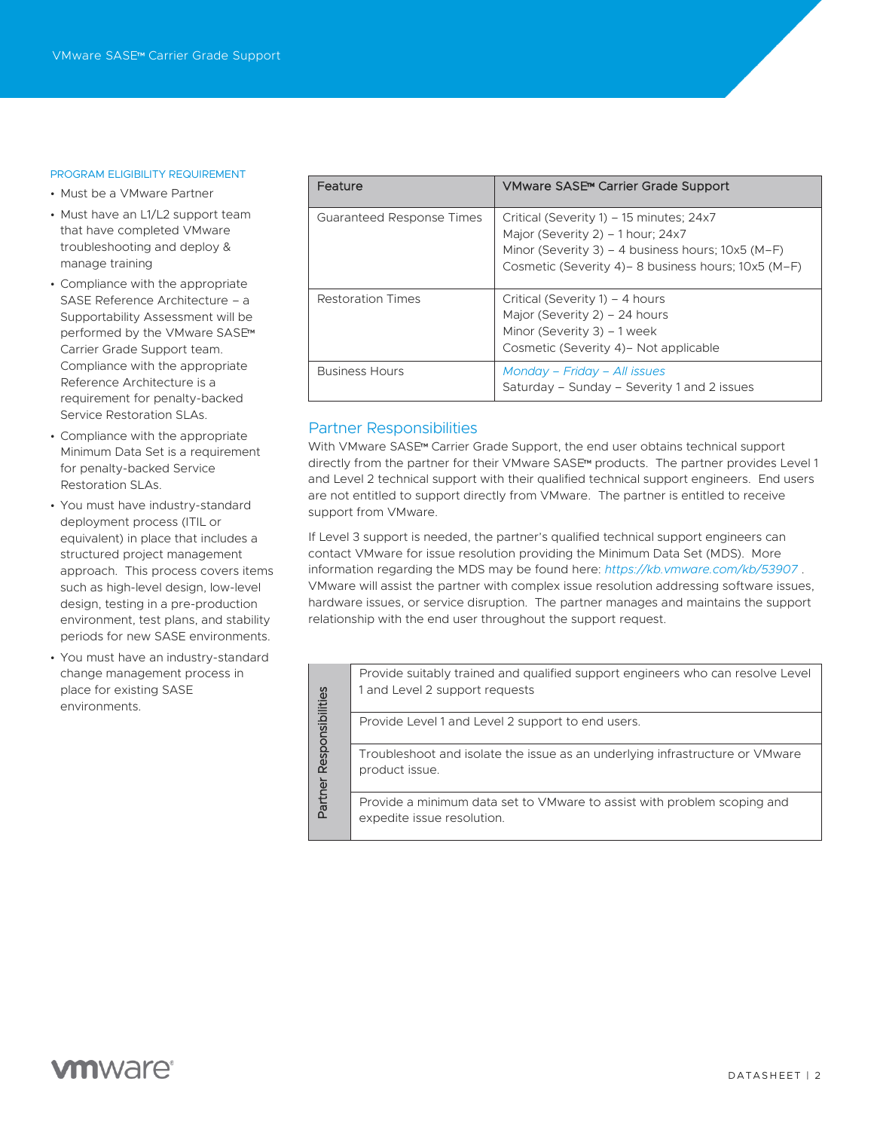#### PROGRAM ELIGIBILITY REQUIREMENT

- Must be a VMware Partner
- Must have an L1/L2 support team that have completed VMware troubleshooting and deploy & manage training
- Compliance with the appropriate SASE Reference Architecture – a Supportability Assessment will be performed by the VMware SASE™ Carrier Grade Support team. Compliance with the appropriate Reference Architecture is a requirement for penalty-backed Service Restoration SLAs.
- Compliance with the appropriate Minimum Data Set is a requirement for penalty-backed Service Restoration SLAs.
- You must have industry-standard deployment process (ITIL or equivalent) in place that includes a structured project management approach. This process covers items such as high-level design, low-level design, testing in a pre-production environment, test plans, and stability periods for new SASE environments.
- You must have an industry-standard change management process in place for existing SASE environments.

| Feature                   | VMware SASE <sup>™</sup> Carrier Grade Support                                                                                                                                             |
|---------------------------|--------------------------------------------------------------------------------------------------------------------------------------------------------------------------------------------|
| Guaranteed Response Times | Critical (Severity 1) – 15 minutes; 24x7<br>Major (Severity 2) - 1 hour: 24x7<br>Minor (Severity 3) - 4 business hours; 10x5 (M-F)<br>Cosmetic (Severity 4) – 8 business hours; 10x5 (M-F) |
| Restoration Times         | Critical (Severity 1) – 4 hours<br>Major (Severity 2) – 24 hours<br>Minor (Severity 3) $-1$ week<br>Cosmetic (Severity 4) – Not applicable                                                 |
| <b>Business Hours</b>     | Monday – Friday – All issues<br>Saturday - Sunday - Severity 1 and 2 issues                                                                                                                |

# Partner Responsibilities

With VMware SASE™ Carrier Grade Support, the end user obtains technical support directly from the partner for their VMware SASE™ products. The partner provides Level 1 and Level 2 technical support with their qualified technical support engineers. End users are not entitled to support directly from VMware. The partner is entitled to receive support from VMware.

If Level 3 support is needed, the partner's qualified technical support engineers can contact VMware for issue resolution providing the Minimum Data Set (MDS). More information regarding the MDS may be found here: *<https://kb.vmware.com/kb/53907>* . VMware will assist the partner with complex issue resolution addressing software issues, hardware issues, or service disruption. The partner manages and maintains the support relationship with the end user throughout the support request.

|                  | Provide suitably trained and qualified support engineers who can resolve Level<br>1 and Level 2 support requests |  |  |  |
|------------------|------------------------------------------------------------------------------------------------------------------|--|--|--|
| Responsibilities | Provide Level 1 and Level 2 support to end users.                                                                |  |  |  |
|                  | Troubleshoot and isolate the issue as an underlying infrastructure or VMware<br>product issue.                   |  |  |  |
| Partner          | Provide a minimum data set to VM ware to assist with problem scoping and<br>expedite issue resolution.           |  |  |  |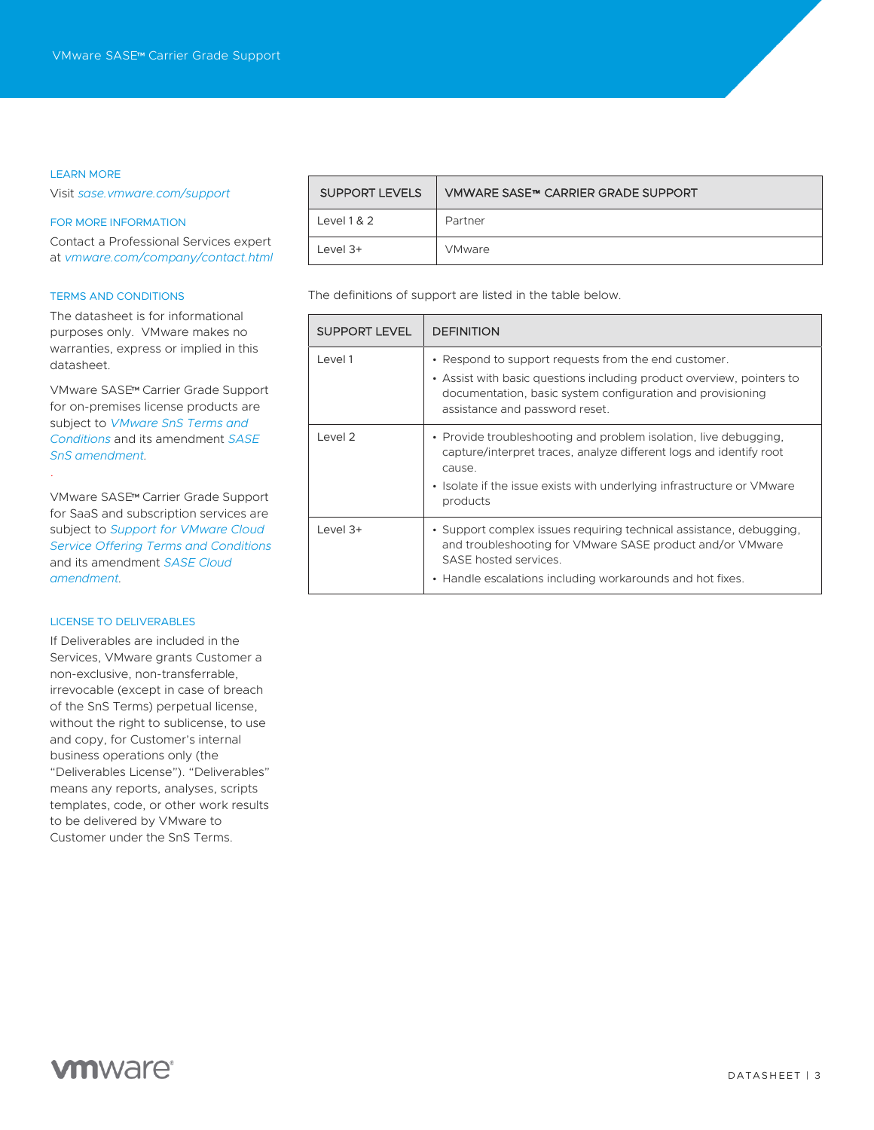#### LEARN MORE

.

Visit *[sase.vmware.com/support](https://sase.vmware.com/support)*

#### FOR MORE INFORMATION

Contact a Professional Services expert at *[vmware.com/company/contact.html](https://www.vmware.com/company/contact.html)*

#### TERMS AND CONDITIONS

The datasheet is for informational purposes only. VMware makes no warranties, express or implied in this datasheet.

VMware SASE™ Carrier Grade Support for on-premises license products are subject to *[VMware SnS Terms and](https://www.vmware.com/content/dam/digitalmarketing/vmware/en/pdf/support/vmware-support-terms-conditions.pdf)  [Conditions](https://www.vmware.com/content/dam/digitalmarketing/vmware/en/pdf/support/vmware-support-terms-conditions.pdf)* and its amendment *[SASE](https://www.vmware.com/content/dam/digitalmarketing/vmware/en/pdf/microsites/sase/sase-vmware-amendment-sns.pdf)  [SnS amendment.](https://www.vmware.com/content/dam/digitalmarketing/vmware/en/pdf/microsites/sase/sase-vmware-amendment-sns.pdf)*

VMware SASE™ Carrier Grade Support for SaaS and subscription services are subject to *[Support for VMware Cloud](https://www.vmware.com/content/dam/digitalmarketing/vmware/en/pdf/support/vmw-cloud-service-support-terms.pdf)  [Service Offering Terms and Conditions](https://www.vmware.com/content/dam/digitalmarketing/vmware/en/pdf/support/vmw-cloud-service-support-terms.pdf)* and its amendment *[SASE Cloud](https://www.vmware.com/content/dam/digitalmarketing/vmware/en/pdf/microsites/sase/sase-vmware-amendment-cloud.pdf)  [amendment.](https://www.vmware.com/content/dam/digitalmarketing/vmware/en/pdf/microsites/sase/sase-vmware-amendment-cloud.pdf)*

#### LICENSE TO DELIVERABLES

If Deliverables are included in the Services, VMware grants Customer a non-exclusive, non-transferrable, irrevocable (except in case of breach of the SnS Terms) perpetual license, without the right to sublicense, to use and copy, for Customer's internal business operations only (the "Deliverables License"). "Deliverables" means any reports, analyses, scripts templates, code, or other work results to be delivered by VMware to Customer under the SnS Terms.

| <b>SUPPORT LEVELS</b> | VMWARE SASE™ CARRIER GRADE SUPPORT |
|-----------------------|------------------------------------|
| Level $1 & 2$         | Partner                            |
| Level $3+$            | <b>VMware</b>                      |

The definitions of support are listed in the table below.

| <b>SUPPORT LEVEL</b> | <b>DEFINITION</b>                                                                                                                                                                                                                      |
|----------------------|----------------------------------------------------------------------------------------------------------------------------------------------------------------------------------------------------------------------------------------|
| Level 1              | • Respond to support requests from the end customer.<br>• Assist with basic questions including product overview, pointers to<br>documentation, basic system configuration and provisioning<br>assistance and password reset.          |
| Level 2              | • Provide troubleshooting and problem isolation, live debugging,<br>capture/interpret traces, analyze different logs and identify root<br>cause.<br>• Isolate if the issue exists with underlying infrastructure or VMware<br>products |
| Level $3+$           | • Support complex issues requiring technical assistance, debugging,<br>and troubleshooting for VMware SASE product and/or VMware<br>SASE hosted services.<br>• Handle escalations including workarounds and hot fixes.                 |

# **vm**ware<sup>®</sup>